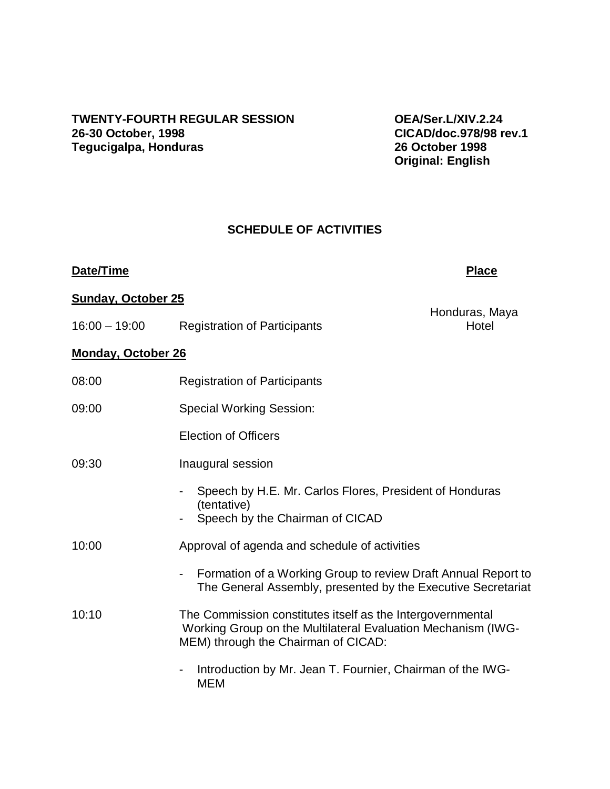# **TWENTY-FOURTH REGULAR SESSION OEA/Ser.L/XIV.2.24 Tegucigalpa, Honduras**

**26-30 October, 1998 CICAD/doc.978/98 rev.1 Original: English** 

### **SCHEDULE OF ACTIVITIES**

### **Date/Time Place**

Honduras, Maya

### **Sunday, October 25**

16:00 – 19:00 Registration of Participants

### **Monday, October 26**

| 08:00 | <b>Registration of Participants</b>                                                                                                                               |
|-------|-------------------------------------------------------------------------------------------------------------------------------------------------------------------|
| 09:00 | <b>Special Working Session:</b>                                                                                                                                   |
|       | <b>Election of Officers</b>                                                                                                                                       |
| 09:30 | Inaugural session                                                                                                                                                 |
|       | Speech by H.E. Mr. Carlos Flores, President of Honduras<br>(tentative)                                                                                            |
|       | Speech by the Chairman of CICAD                                                                                                                                   |
| 10:00 | Approval of agenda and schedule of activities                                                                                                                     |
|       | Formation of a Working Group to review Draft Annual Report to<br>$\blacksquare$<br>The General Assembly, presented by the Executive Secretariat                   |
| 10:10 | The Commission constitutes itself as the Intergovernmental<br>Working Group on the Multilateral Evaluation Mechanism (IWG-<br>MEM) through the Chairman of CICAD: |
|       | Introduction by Mr. Jean T. Fournier, Chairman of the IWG-<br>$\blacksquare$<br>MEM                                                                               |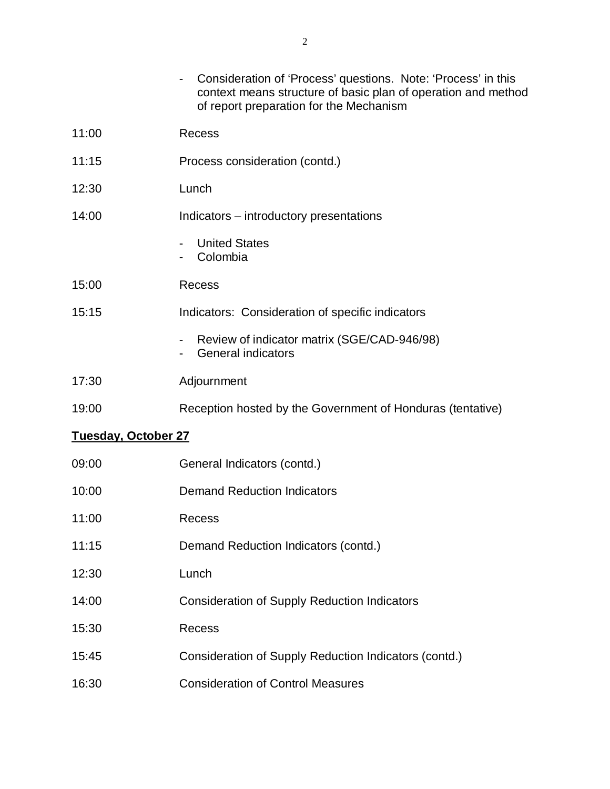|                            | Consideration of 'Process' questions. Note: 'Process' in this<br>context means structure of basic plan of operation and method<br>of report preparation for the Mechanism |
|----------------------------|---------------------------------------------------------------------------------------------------------------------------------------------------------------------------|
| 11:00                      | <b>Recess</b>                                                                                                                                                             |
| 11:15                      | Process consideration (contd.)                                                                                                                                            |
| 12:30                      | Lunch                                                                                                                                                                     |
| 14:00                      | Indicators – introductory presentations                                                                                                                                   |
|                            | <b>United States</b><br>Colombia                                                                                                                                          |
| 15:00                      | <b>Recess</b>                                                                                                                                                             |
| 15:15                      | Indicators: Consideration of specific indicators                                                                                                                          |
|                            | Review of indicator matrix (SGE/CAD-946/98)<br><b>General indicators</b>                                                                                                  |
| 17:30                      | Adjournment                                                                                                                                                               |
| 19:00                      | Reception hosted by the Government of Honduras (tentative)                                                                                                                |
| <b>Tuesday, October 27</b> |                                                                                                                                                                           |
| 09:00                      | General Indicators (contd.)                                                                                                                                               |
| 10:00                      | <b>Demand Reduction Indicators</b>                                                                                                                                        |
| 11:00                      | Recess                                                                                                                                                                    |
| 11:15                      | Demand Reduction Indicators (contd.)                                                                                                                                      |
| 12:30                      | Lunch                                                                                                                                                                     |
| 14:00                      | <b>Consideration of Supply Reduction Indicators</b>                                                                                                                       |
| 15:30                      | <b>Recess</b>                                                                                                                                                             |
| 15:45                      | Consideration of Supply Reduction Indicators (contd.)                                                                                                                     |
| 16:30                      | <b>Consideration of Control Measures</b>                                                                                                                                  |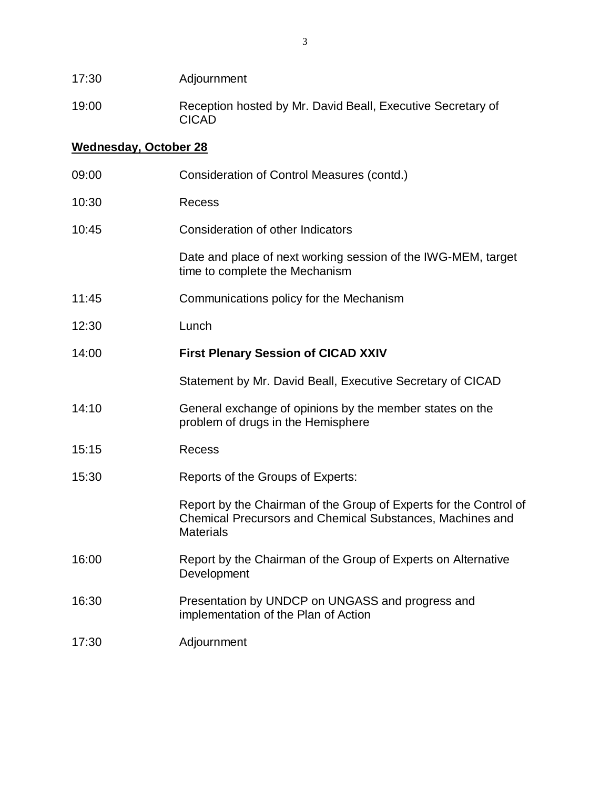| 17:30                 | Adjournment                                                                                                                                               |  |  |
|-----------------------|-----------------------------------------------------------------------------------------------------------------------------------------------------------|--|--|
| 19:00                 | Reception hosted by Mr. David Beall, Executive Secretary of<br><b>CICAD</b>                                                                               |  |  |
| Wednesday, October 28 |                                                                                                                                                           |  |  |
| 09:00                 | Consideration of Control Measures (contd.)                                                                                                                |  |  |
| 10:30                 | <b>Recess</b>                                                                                                                                             |  |  |
| 10:45                 | Consideration of other Indicators                                                                                                                         |  |  |
|                       | Date and place of next working session of the IWG-MEM, target<br>time to complete the Mechanism                                                           |  |  |
| 11:45                 | Communications policy for the Mechanism                                                                                                                   |  |  |
| 12:30                 | Lunch                                                                                                                                                     |  |  |
| 14:00                 | <b>First Plenary Session of CICAD XXIV</b>                                                                                                                |  |  |
|                       | Statement by Mr. David Beall, Executive Secretary of CICAD                                                                                                |  |  |
| 14:10                 | General exchange of opinions by the member states on the<br>problem of drugs in the Hemisphere                                                            |  |  |
| 15:15                 | <b>Recess</b>                                                                                                                                             |  |  |
| 15:30                 | Reports of the Groups of Experts:                                                                                                                         |  |  |
|                       | Report by the Chairman of the Group of Experts for the Control of<br><b>Chemical Precursors and Chemical Substances, Machines and</b><br><b>Materials</b> |  |  |
| 16:00                 | Report by the Chairman of the Group of Experts on Alternative<br>Development                                                                              |  |  |
| 16:30                 | Presentation by UNDCP on UNGASS and progress and<br>implementation of the Plan of Action                                                                  |  |  |
| 17:30                 | Adjournment                                                                                                                                               |  |  |
|                       |                                                                                                                                                           |  |  |